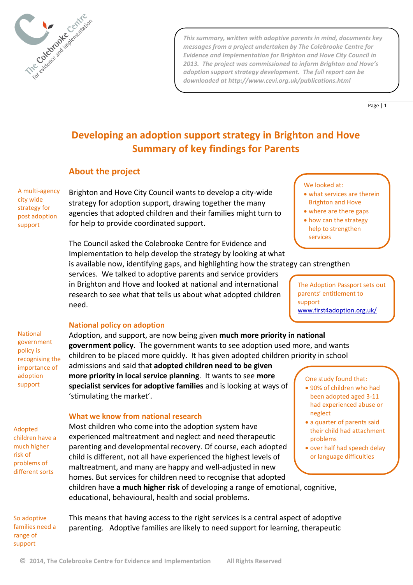

*This summary, written with adoptive parents in mind, documents key messages from a project undertaken by The Colebrooke Centre for Evidence and Implementation for Brighton and Hove City Council in 2013. The project was commissioned to inform Brighton and Hove's adoption support strategy development. The full report can be downloaded at<http://www.cevi.org.uk/publications.html>*

Page | 1

# **Developing an adoption support strategy in Brighton and Hove Summary of key findings for Parents**

# **About the project**

A multi-agency city wide strategy for post adoption support

Brighton and Hove City Council wants to develop a city-wide strategy for adoption support, drawing together the many agencies that adopted children and their families might turn to for help to provide coordinated support.

The Council asked the Colebrooke Centre for Evidence and Implementation to help develop the strategy by looking at what is available now, identifying gaps, and highlighting how the strategy can strengthen services

services. We talked to adoptive parents and service providers in Brighton and Hove and looked at national and international research to see what that tells us about what adopted children need.

The Adoption Passport sets out parents' entitlement to

[www.first4adoption.org.uk/](http://www.first4adoption.org.uk/)

support

 what services are therein Brighton and Hove where are there gaps how can the strategy help to strengthen

We looked at:

National government policy is recognising the importance of adoption support

## **National policy on adoption**

Adoption, and support, are now being given **much more priority in national government policy**. The government wants to see adoption used more, and wants children to be placed more quickly. It has given adopted children priority in school

admissions and said that **adopted children need to be given more priority in local service planning**. It wants to see **more specialist services for adoptive families** and is looking at ways of 'stimulating the market'.

Adopted children have a much higher risk of problems of different sorts

### **What we know from national research**

Most children who come into the adoption system have experienced maltreatment and neglect and need therapeutic parenting and developmental recovery. Of course, each adopted child is different, not all have experienced the highest levels of maltreatment, and many are happy and well-adjusted in new homes. But services for children need to recognise that adopted children have **a much higher risk** of developing a range of emotional, cognitive, educational, behavioural, health and social problems.

One study found that:

- 90% of children who had been adopted aged 3-11 had experienced abuse or neglect
- a quarter of parents said their child had attachment problems
- over half had speech delay or language difficulties

So adoptive families need a range of support

This means that having access to the right services is a central aspect of adoptive parenting. Adoptive families are likely to need support for learning, therapeutic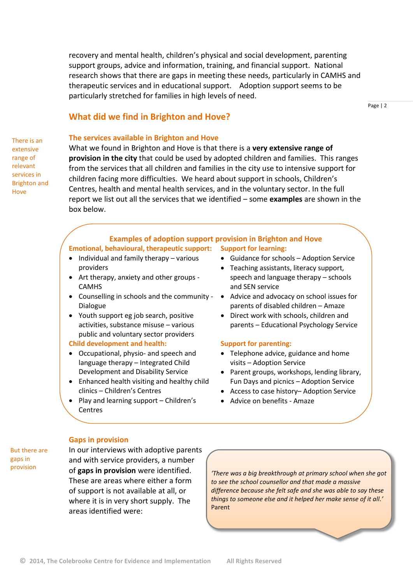recovery and mental health, children's physical and social development, parenting support groups, advice and information, training, and financial support. National research shows that there are gaps in meeting these needs, particularly in CAMHS and therapeutic services and in educational support. Adoption support seems to be particularly stretched for families in high levels of need.

## **What did we find in Brighton and Hove?**

Page | 2

# **The services available in Brighton and Hove**

There is an extensive range of relevant services in Brighton and Hove

What we found in Brighton and Hove is that there is a **very extensive range of provision in the city** that could be used by adopted children and families. This ranges from the services that all children and families in the city use to intensive support for children facing more difficulties. We heard about support in schools, Children's Centres, health and mental health services, and in the voluntary sector. In the full report we list out all the services that we identified – some **examples** are shown in the box below.

#### **Examples of adoption support provision in Brighton and Hove Emotional, behavioural, therapeutic support: Support for learning:**

- Individual and family therapy various providers
- Art therapy, anxiety and other groups CAMHS
- Counselling in schools and the community Dialogue
- Youth support eg job search, positive activities, substance misuse – various public and voluntary sector providers

#### **Child development and health:**

- Occupational, physio- and speech and language therapy – Integrated Child Development and Disability Service
- Enhanced health visiting and healthy child clinics – Children's Centres
- Play and learning support Children's Centres
- Guidance for schools Adoption Service
- Teaching assistants, literacy support, speech and language therapy – schools and SEN service
- Advice and advocacy on school issues for parents of disabled children – Amaze
- Direct work with schools, children and parents – Educational Psychology Service

### **Support for parenting:**

- Telephone advice, guidance and home visits – Adoption Service
- Parent groups, workshops, lending library, Fun Days and picnics – Adoption Service
- Access to case history– Adoption Service
- Advice on benefits Amaze

#### But there are gaps in provision

### **Gaps in provision**

In our interviews with adoptive parents and with service providers, a number of **gaps in provision** were identified. These are areas where either a form of support is not available at all, or where it is in very short supply. The areas identified were:

*'There was a big breakthrough at primary school when she got to see the school counsellor and that made a massive difference because she felt safe and she was able to say these things to someone else and it helped her make sense of it all.'*  Parent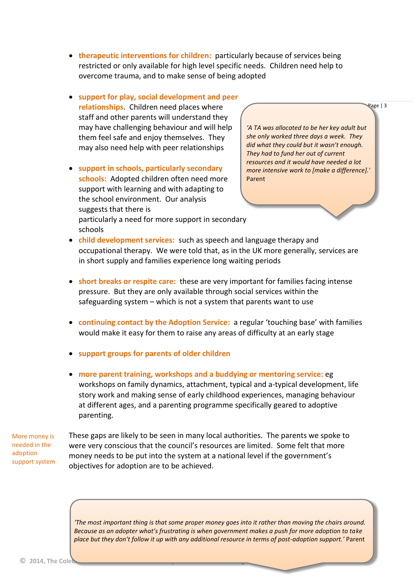- **therapeutic interventions for children:** particularly because of services being restricted or only available for high level specific needs. Children need help to overcome trauma, and to make sense of being adopted
- **support for play, social development and peer relationships**. Children need places where staff and other parents will understand they may have challenging behaviour and will help them feel safe and enjoy themselves. They may also need help with peer relationships
- **support in schools, particularly secondary schools:** Adopted children often need more support with learning and with adapting to the school environment. Our analysis suggests that there is particularly a need for more support in secondary schools

*'A TA was allocated to be her key adult but she only worked three days a week. They did what they could but it wasn't enough. They had to fund her out of current resources and it would have needed a lot more intensive work to [make a difference].'*  Parent

Page | 3

- **child development services:** such as speech and language therapy and occupational therapy. We were told that, as in the UK more generally, services are in short supply and families experience long waiting periods
- **short breaks or respite care:** these are very important for families facing intense pressure. But they are only available through social services within the safeguarding system – which is not a system that parents want to use
- **continuing contact by the Adoption Service:** a regular 'touching base' with families would make it easy for them to raise any areas of difficulty at an early stage
- **support groups for parents of older children**
- **more parent training, workshops and a buddying or mentoring service:** eg workshops on family dynamics, attachment, typical and a-typical development, life story work and making sense of early childhood experiences, managing behaviour at different ages, and a parenting programme specifically geared to adoptive parenting.

More money is needed in the adoption support system

These gaps are likely to be seen in many local authorities. The parents we spoke to were very conscious that the council's resources are limited. Some felt that more money needs to be put into the system at a national level if the government's objectives for adoption are to be achieved.

*'The most important thing is that some proper money goes into it rather than moving the chairs around. Because as an adopter what's frustrating is when government makes a push for more adoption to take place but they don't follow it up with any additional resource in terms of post-adoption support.'* Parent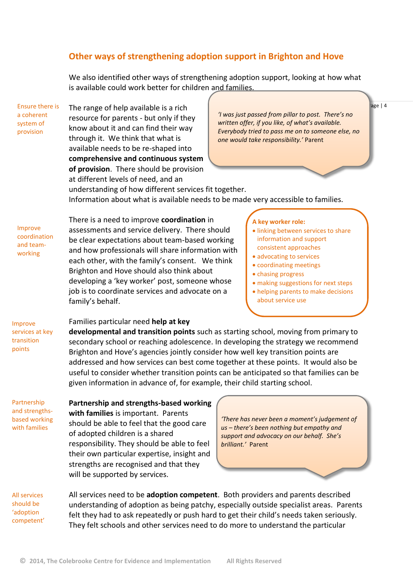# **Other ways of strengthening adoption support in Brighton and Hove**

We also identified other ways of strengthening adoption support, looking at how what is available could work better for children and families.

The range of help available is a rich resource for parents - but only if they know about it and can find their way through it. We think that what is available needs to be re-shaped into **comprehensive and continuous system of provision**. There should be provision at different levels of need, and an Ensure there is

*'I was just passed from pillar to post. There's no written offer, if you like, of what's available. Everybody tried to pass me on to someone else, no one would take responsibility.'* Parent

age | 4

understanding of how different services fit together. Information about what is available needs to be made very accessible to families.

Improve coordination and teamworking

a coherent system of provision

> There is a need to improve **coordination** in assessments and service delivery. There should be clear expectations about team-based working and how professionals will share information with each other, with the family's consent. We think Brighton and Hove should also think about developing a 'key worker' post, someone whose job is to coordinate services and advocate on a family's behalf.

**A key worker role:**

- **.** linking between services to share information and support consistent approaches
- advocating to services
- coordinating meetings
- chasing progress
- making suggestions for next steps
- helping parents to make decisions about service use

Improve services at key transition points

Partnership and strengthsbased working with families

### Families particular need **help at key**

**developmental and transition points** such as starting school, moving from primary to secondary school or reaching adolescence. In developing the strategy we recommend Brighton and Hove's agencies jointly consider how well key transition points are addressed and how services can best come together at these points. It would also be useful to consider whether transition points can be anticipated so that families can be given information in advance of, for example, their child starting school.

**Partnership and strengths-based working with families** is important. Parents should be able to feel that the good care of adopted children is a shared responsibility. They should be able to feel their own particular expertise, insight and strengths are recognised and that they will be supported by services.

*'There has never been a moment's judgement of us – there's been nothing but empathy and support and advocacy on our behalf. She's brilliant.'* Parent

All services should be 'adoption competent' All services need to be **adoption competent**. Both providers and parents described understanding of adoption as being patchy, especially outside specialist areas. Parents felt they had to ask repeatedly or push hard to get their child's needs taken seriously. They felt schools and other services need to do more to understand the particular